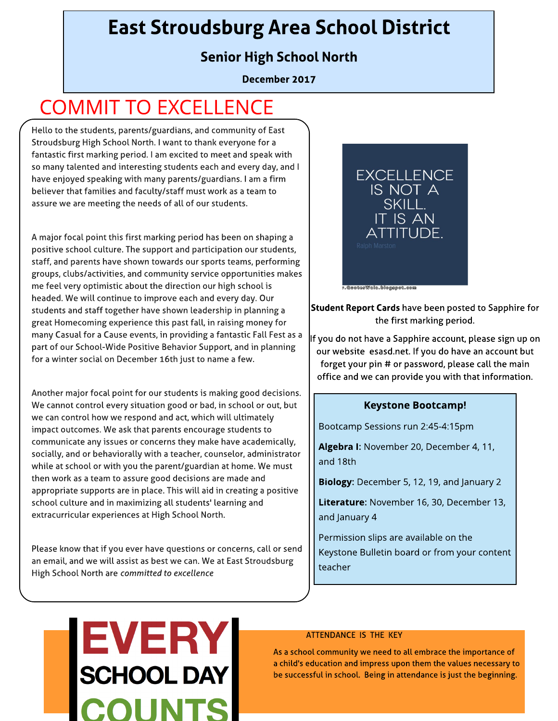# East Stroudsburg Area School District

## Senior High School North

December 2017

# COMMIT TO EXCELLENCE

Hello to the students, parents/guardians, and community of East Stroudsburg High School North. I want to thank everyone for a fantastic first marking period. I am excited to meet and speak with so many talented and interesting students each and every day, and I have enjoyed speaking with many parents/guardians. I am a firm believer that families and faculty/ staff must work as a team to assure we are meeting the needs of all of our students.

A major focal point this first marking period has been on shaping a positive school culture. The support and participation our students, staff, and parents have shown towards our sports teams, performing groups, clubs/activities, and community service opportunities makes me feel very optimistic about the direction our high school is headed. We will continue to improve each and every day. Our students and staff together have shown leadership in planning a great Homecoming experience this past fall, in raising money for many Casual for a Cause events, in providing a fantastic Fall Fest as a part of our School-Wide Positive Behavior Support, and in planning for a winter social on December 16th just to name a few.

Another major focal point for our students is making good decisions. We cannot control every situation good or bad, in school or out, but we can control how we respond and act, which will ultimately impact outcomes. We ask that parents encourage students to communicate any issues or concerns they make have academically, socially, and or behaviorally with a teacher, counselor, administrator while at school or with you the parent/guardian at home. We must then work as a team to assure good decisions are made and appropriate supports are in place. This will aid in creating a positive school culture and in maximizing all students' learning and extracurricular experiences at High School North.

Please know that if you ever have questions or concerns, call or send an email, and we will assist as best we can. We at East Stroudsburg High School North are **committed to excellence**



Student Report Cards have been posted to Sapphire for the first marking period.

If you do not have a Sapphire account, please sign up on our website esasd.net. If you do have an account but forget your pin # or password, please call the main office and we can provide you with that information.

#### **Keystone Bootcamp!**

Bootcamp Sessions run 2:45-4:15pm

Algebra I: November 20, December 4, 11, and 18th

Biology: December 5, 12, 19, and January 2

Literature: November 16, 30, December 13, and January 4

Permission slips are available on the Keystone Bulletin board or from your content teacher

# **EVERY SCHOOL DAY**

#### ATTENDANCE IS THE KEY

As a school community we need to all embrace the importance of a child's education and impress upon them the values necessary to be successful in school. Being in attendance is just the beginning.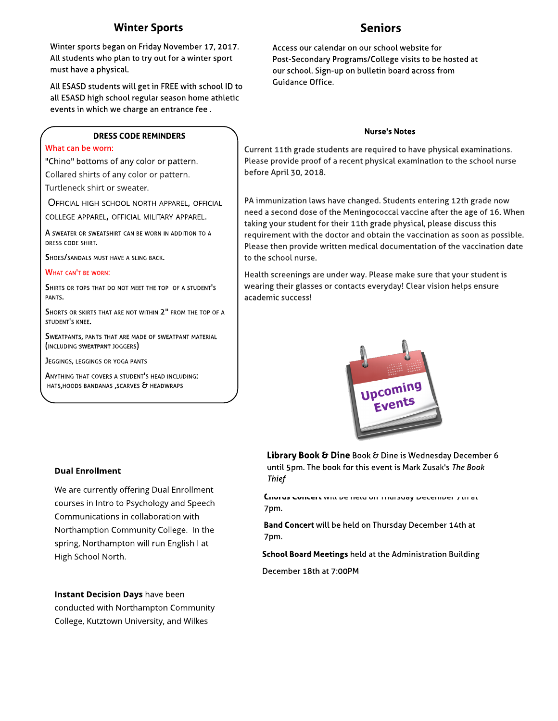### Winter Sports

Winter sports began on Friday November 17, 2017. All students who plan to try out for a winter sport must have a physical.

All ESASD students will get in FREEwith school ID to all ESASD high school regular season home athletic events in which we charge an entrance fee .

#### DRESS CODE REMINDERS

#### What can be worn:

"Chino" bottoms of any color or pattern.

Collared shirts of any color or pattern.

Turtleneck shirt or sweater.

OFFICIAL HIGH SCHOOL NORTH APPAREL, OFFICIAL COLLEGE APPAREL, OFFICIAL MILITARY APPAREL.

A SWEATER OR SWEATSHIRT CAN BE WORN IN ADDITION TO A DRESS CODE SHIRT.

SHOES/ SANDALS MUST HAVE A SLING BACK.

#### WHAT CAN'T BE WORN:

SHIRTS OR TOPS THAT DO NOT MEET THE TOP OF <sup>A</sup> STUDENT'<sup>S</sup> PANTS.

SHORTS OR SKIRTS THAT ARE NOT WITHIN 2" FROM THE TOP OF A STUDENT'<sup>S</sup> KNEE.

SWEATPANTS, PANTS THAT ARE MADE OF SWEATPANT MATERIAL (INCLUDING SWEATPANT JOGGERS)

JEGGINGS, LEGGINGS OR YOGA PANTS

ANYTHING THAT COVERS <sup>A</sup> STUDENT'<sup>S</sup> HEAD INCLUDING: HATS, HOODS BANDANAS, SCARVES & HEADWRAPS

#### **Dual Enrollment**

We are currently offering Dual Enrollment courses in Intro to Psychology and Speech Communications in collaboration with Northamption Community College. In the spring, Northampton will run English I at High School North.

Instant Decision Days have been conducted with Northampton Community College, Kutztown University, and Wilkes

#### Access our calendar on our school website for Post-Secondary Programs/College visits to be hosted at our school. Sign-up on bulletin board across from Guidance Office.

#### Nurse's Notes

Current 11th grade students are required to have physical examinations. Please provide proof of a recent physical examination to the school nurse before April 30, 2018.

PA immunization laws have changed. Students entering 12th grade now need a second dose of the Meningococcal vaccine after the age of 16. When taking your student for their 11th grade physical, please discuss this requirement with the doctor and obtain the vaccination as soon as possible. Please then provide written medical documentation of the vaccination date to the school nurse.

Health screenings are under way. Please make sure that your student is wearing their glasses or contacts everyday! Clear vision helps ensure academic success!



Library Book & Dine Book & Dine is Wednesday December 6 until 5pm. The book for this event is Mark Zusak's **The Book Thief**

Chorus Concert will be held on Thursday December 7th at 7pm.

Band Concert will be held on Thursday December 14th at 7pm.

School Board Meetings held at the Administration Building

December 18th at 7:00PM

## Seniors